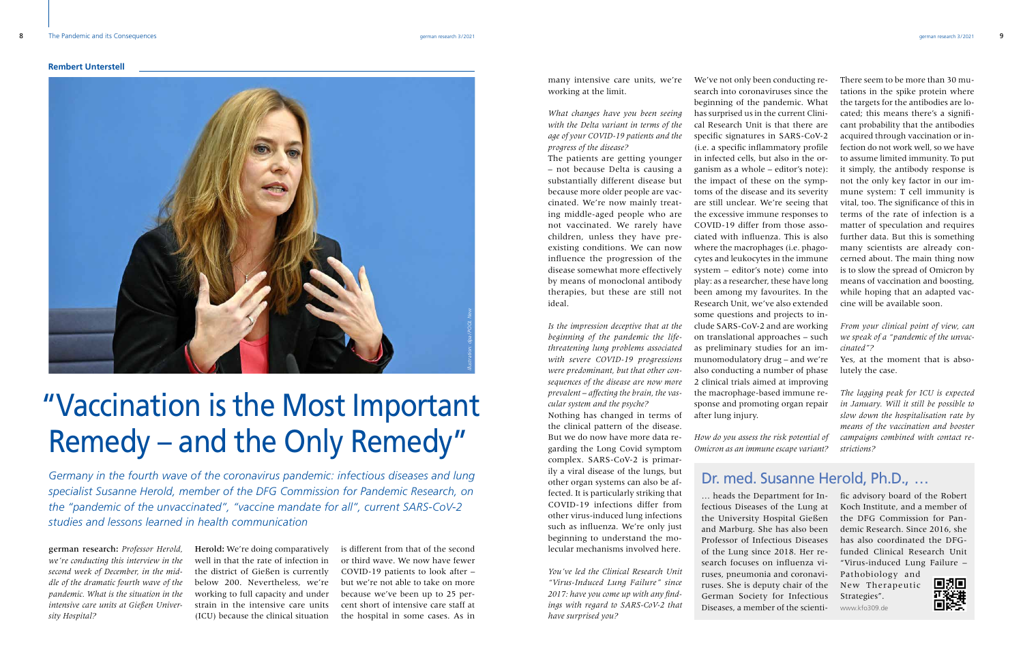many intensive care units, we're working at the limit.

*What changes have you been seeing with the Delta variant in terms of the age of your COVID-19 patients and the progress of the disease?* 

The patients are getting younger – not because Delta is causing a substantially different disease but because more older people are vaccinated. We're now mainly treating middle-aged people who are not vaccinated. We rarely have children, unless they have preexisting conditions. We can now influence the progression of the disease somewhat more effectively by means of monoclonal antibody therapies, but these are still not ideal.

*Is the impression deceptive that at the beginning of the pandemic the lifethreatening lung problems associated with severe COVID-19 progressions were predominant, but that other consequences of the disease are now more prevalent – affecting the brain, the vascular system and the psyche?*

Nothing has changed in terms of the clinical pattern of the disease. But we do now have more data regarding the Long Covid symptom complex. SARS-CoV-2 is primarily a viral disease of the lungs, but other organ systems can also be affected. It is particularly striking that COVID-19 infections differ from other virus-induced lung infections such as influenza. We're only just beginning to understand the molecular mechanisms involved here.

*You've led the Clinical Research Unit "Virus-Induced Lung Failure" since 2017: have you come up with any findings with regard to SARS-CoV-2 that have surprised you?* 

fectious Diseases of the Lung at the University Hospital Gießen and Marburg. She has also been Professor of Infectious Diseases of the Lung since 2018. Her research focuses on influenza viruses, pneumonia and coronaviruses. She is deputy chair of the German Society for Infectious Diseases, a member of the scienti- www.kfo309.de

There seem to be more than 30 mutations in the spike protein where the targets for the antibodies are located; this means there's a significant probability that the antibodies acquired through vaccination or infection do not work well, so we have to assume limited immunity. To put it simply, the antibody response is not the only key factor in our immune system: T cell immunity is vital, too. The significance of this in terms of the rate of infection is a matter of speculation and requires further data. But this is something many scientists are already concerned about. The main thing now is to slow the spread of Omicron by means of vaccination and boosting, while hoping that an adapted vaccine will be available soon.

*From your clinical point of view, can we speak of a "pandemic of the unvaccinated"?* 

Yes, at the moment that is absolutely the case.

*The lagging peak for ICU is expected in January. Will it still be possible to slow down the hospitalisation rate by means of the vaccination and booster campaigns combined with contact restrictions?*

## Dr. med. Susanne Herold, Ph.D., …

We've not only been conducting research into coronaviruses since the beginning of the pandemic. What has surprised us in the current Clinical Research Unit is that there are specific signatures in SARS-CoV-2 (i.e. a specific inflammatory profile in infected cells, but also in the organism as a whole – editor's note): the impact of these on the symptoms of the disease and its severity are still unclear. We're seeing that the excessive immune responses to COVID-19 differ from those associated with influenza. This is also where the macrophages (i.e. phagocytes and leukocytes in the immune system – editor's note) come into play: as a researcher, these have long been among my favourites. In the Research Unit, we've also extended some questions and projects to include SARS-CoV-2 and are working on translational approaches – such as preliminary studies for an immunomodulatory drug – and we're also conducting a number of phase 2 clinical trials aimed at improving the macrophage-based immune response and promoting organ repair after lung injury.

*How do you assess the risk potential of Omicron as an immune escape variant?*

… heads the Department for In-fic advisory board of the Robert Koch Institute, and a member of the DFG Commission for Pandemic Research. Since 2016, she has also coordinated the DFGfunded Clinical Research Unit "Virus-induced Lung Failure –

Pathobiology and New Therapeutic Strategies".



*Germany in the fourth wave of the coronavirus pandemic: infectious diseases and lung specialist Susanne Herold, member of the DFG Commission for Pandemic Research, on the "pandemic of the unvaccinated", "vaccine mandate for all", current SARS-CoV-2 studies and lessons learned in health communication*

# "Vaccination is the Most Important Remedy – and the Only Remedy"



german research: *Professor Herold, we're conducting this interview in the second week of December, in the middle of the dramatic fourth wave of the pandemic. What is the situation in the intensive care units at Gießen University Hospital?*

is different from that of the second or third wave. We now have fewer COVID-19 patients to look after – but we're not able to take on more because we've been up to 25 percent short of intensive care staff at the hospital in some cases. As in

Herold: We're doing comparatively well in that the rate of infection in the district of Gießen is currently below 200. Nevertheless, we're working to full capacity and under strain in the intensive care units (ICU) because the clinical situation

### **Rembert Unterstell**